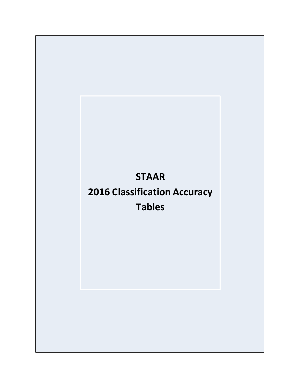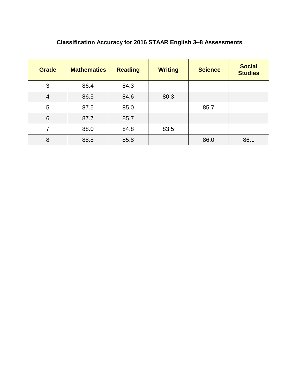# **Classification Accuracy for 2016 STAAR English 3–8 Assessments**

| <b>Grade</b>   | <b>Mathematics</b> | <b>Reading</b> | <b>Writing</b> | <b>Science</b> | <b>Social</b><br><b>Studies</b> |
|----------------|--------------------|----------------|----------------|----------------|---------------------------------|
| 3              | 86.4               | 84.3           |                |                |                                 |
| $\overline{4}$ | 86.5               | 84.6           | 80.3           |                |                                 |
| 5              | 87.5               | 85.0           |                | 85.7           |                                 |
| 6              | 87.7               | 85.7           |                |                |                                 |
| 7              | 88.0               | 84.8           | 83.5           |                |                                 |
| 8              | 88.8               | 85.8           |                | 86.0           | 86.1                            |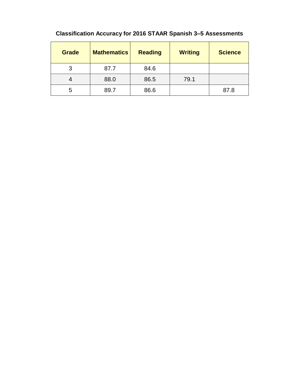## **Classification Accuracy for 2016 STAAR Spanish 3–5 Assessments**

| <b>Grade</b> | <b>Mathematics</b> | <b>Reading</b> | <b>Writing</b> | <b>Science</b> |
|--------------|--------------------|----------------|----------------|----------------|
| 3            | 87.7               | 84.6           |                |                |
|              | 88.0               | 86.5           | 79.1           |                |
| 5            | 89.7               | 86.6           |                | 87.8           |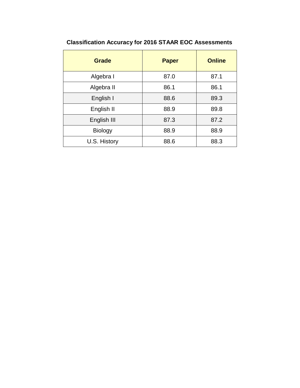| <b>Grade</b>   | <b>Paper</b> | <b>Online</b> |
|----------------|--------------|---------------|
| Algebra I      | 87.0         | 87.1          |
| Algebra II     | 86.1         | 86.1          |
| English I      | 88.6         | 89.3          |
| English II     | 88.9         | 89.8          |
| English III    | 87.3         | 87.2          |
| <b>Biology</b> | 88.9         | 88.9          |
| U.S. History   | 88.6         | 88.3          |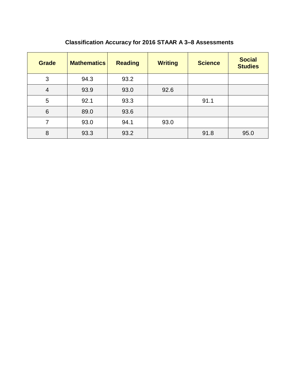| <b>Grade</b> | <b>Mathematics</b> | <b>Reading</b> | <b>Writing</b> | <b>Science</b> | <b>Social</b><br><b>Studies</b> |
|--------------|--------------------|----------------|----------------|----------------|---------------------------------|
| 3            | 94.3               | 93.2           |                |                |                                 |
| 4            | 93.9               | 93.0           | 92.6           |                |                                 |
| 5            | 92.1               | 93.3           |                | 91.1           |                                 |
| 6            | 89.0               | 93.6           |                |                |                                 |
| 7            | 93.0               | 94.1           | 93.0           |                |                                 |
| 8            | 93.3               | 93.2           |                | 91.8           | 95.0                            |

## **Classification Accuracy for 2016 STAAR A 3–8 Assessments**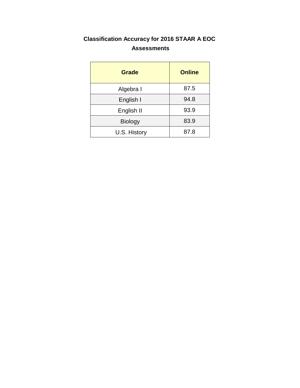#### **Classification Accuracy for 2016 STAAR A EOC Assessments**

| Grade          | <b>Online</b> |
|----------------|---------------|
| Algebra I      | 87.5          |
| English I      | 94.8          |
| English II     | 93.9          |
| <b>Biology</b> | 83.9          |
| U.S. History   | 87.8          |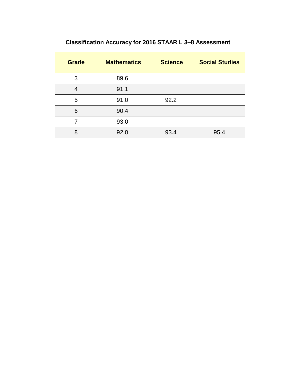# **Classification Accuracy for 2016 STAAR L 3–8 Assessment**

| <b>Grade</b> | <b>Mathematics</b> | <b>Science</b> | <b>Social Studies</b> |
|--------------|--------------------|----------------|-----------------------|
| 3            | 89.6               |                |                       |
| 4            | 91.1               |                |                       |
| 5            | 91.0               | 92.2           |                       |
| 6            | 90.4               |                |                       |
| 7            | 93.0               |                |                       |
| 8            | 92.0               | 93.4           | 95.4                  |